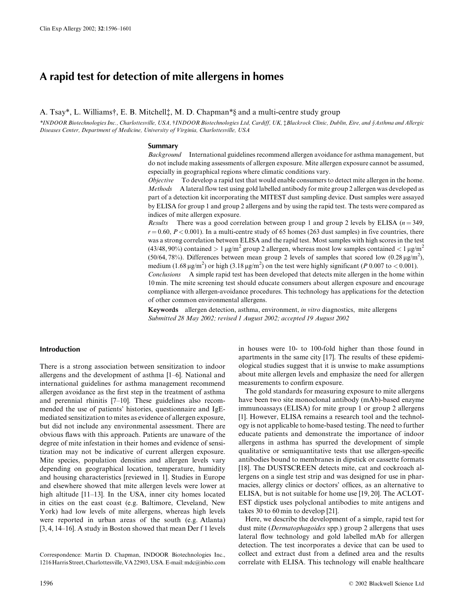# A rapid test for detection of mite allergens in homes

## A. Tsay\*, L. Williams†, E. B. Mitchell<sup>\*</sup>, M. D. Chapman\*§ and a multi-centre study group

\*INDOOR Biotechnologies Inc., Charlottesville, USA, †INDOOR Biotechnologies Ltd, Cardiff, UK, ‡Blackrock Clinic, Dublin, Eire, and §Asthma and Allergic Diseases Center, Department of Medicine, University of Virginia, Charlottesville, USA

#### **Summary**

Background International guidelines recommend allergen avoidance for asthma management, but do not include making assessments of allergen exposure. Mite allergen exposure cannot be assumed, especially in geographical regions where climatic conditions vary.

To develop a rapid test that would enable consumers to detect mite allergen in the home. *<u>Ohiective</u>* Methods A lateral flow test using gold labelled antibody for mite group 2 allergen was developed as part of a detection kit incorporating the MITEST dust sampling device. Dust samples were assayed by ELISA for group 1 and group 2 allergens and by using the rapid test. The tests were compared as indices of mite allergen exposure.

*Results* There was a good correlation between group 1 and group 2 levels by ELISA  $(n=349,$  $r = 0.60$ ,  $P < 0.001$ ). In a multi-centre study of 65 homes (263 dust samples) in five countries, there was a strong correlation between ELISA and the rapid test. Most samples with high scores in the test (43/48, 90%) contained  $> 1 \mu g/m^2$  group 2 allergen, whereas most low samples contained  $< 1 \mu g/m^2$ (50/64, 78%). Differences between mean group 2 levels of samples that scored low (0.28  $\mu$ g/m<sup>2</sup>), medium  $(1.68 \,\mathrm{\upmu g/m^2})$  or high  $(3.18 \,\mathrm{\upmu g/m^2})$  on the test were highly significant (P 0.007 to < 0.001).

Conclusions A simple rapid test has been developed that detects mite allergen in the home within 10 min. The mite screening test should educate consumers about allergen exposure and encourage compliance with allergen-avoidance procedures. This technology has applications for the detection of other common environmental allergens.

Keywords allergen detection, asthma, environment, in vitro diagnostics, mite allergens Submitted 28 May 2002; revised 1 August 2002; accepted 19 August 2002

# **Introduction**

There is a strong association between sensitization to indoor allergens and the development of asthma [1-6]. National and international guidelines for asthma management recommend allergen avoidance as the first step in the treatment of asthma and perennial rhinitis [7-10]. These guidelines also recommended the use of patients' histories, questionnaire and IgEmediated sensitization to mites as evidence of allergen exposure, but did not include any environmental assessment. There are obvious flaws with this approach. Patients are unaware of the degree of mite infestation in their homes and evidence of sensitization may not be indicative of current allergen exposure. Mite species, population densities and allergen levels vary depending on geographical location, temperature, humidity and housing characteristics [reviewed in 1]. Studies in Europe and elsewhere showed that mite allergen levels were lower at high altitude  $[11-13]$ . In the USA, inner city homes located in cities on the east coast (e.g. Baltimore, Cleveland, New York) had low levels of mite allergens, whereas high levels were reported in urban areas of the south (e.g. Atlanta) [3, 4, 14–16]. A study in Boston showed that mean Der f 1 levels

Correspondence: Martin D. Chapman, INDOOR Biotechnologies Inc., 1216 Harris Street, Charlottesville, VA 22903, USA. E-mail: mdc@inbio.com

ological studies suggest that it is unwise to make assumptions about mite allergen levels and emphasize the need for allergen measurements to confirm exposure. The gold standards for measuring exposure to mite allergens have been two site monoclonal antibody (mAb)-based enzyme

immunoassays (ELISA) for mite group 1 or group 2 allergens [1]. However, ELISA remains a research tool and the technology is not applicable to home-based testing. The need to further educate patients and demonstrate the importance of indoor allergens in asthma has spurred the development of simple qualitative or semiquantitative tests that use allergen-specific antibodies bound to membranes in dipstick or cassette formats [18]. The DUSTSCREEN detects mite, cat and cockroach allergens on a single test strip and was designed for use in pharmacies, allergy clinics or doctors' offices, as an alternative to ELISA, but is not suitable for home use [19, 20]. The ACLOT-EST dipstick uses polyclonal antibodies to mite antigens and takes 30 to 60 min to develop [21].

in houses were 10- to 100-fold higher than those found in apartments in the same city [17]. The results of these epidemi-

Here, we describe the development of a simple, rapid test for dust mite (*Dermatophagoides* spp.) group 2 allergens that uses lateral flow technology and gold labelled mAb for allergen detection. The test incorporates a device that can be used to collect and extract dust from a defined area and the results correlate with ELISA. This technology will enable healthcare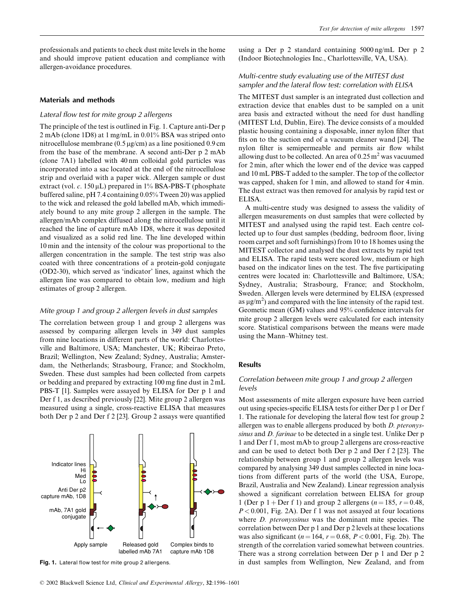professionals and patients to check dust mite levels in the home and should improve patient education and compliance with allergen-avoidance procedures.

## **Materials and methods**

#### Lateral flow test for mite group 2 allergens

The principle of the test is outlined in Fig. 1. Capture anti-Der p 2 mAb (clone 1D8) at 1 mg/mL in 0.01% BSA was striped onto nitrocellulose membrane ( $0.5 \mu$ g/cm) as a line positioned 0.9 cm from the base of the membrane. A second anti-Der p 2 mAb (clone 7A1) labelled with 40 nm colloidal gold particles was incorporated into a sac located at the end of the nitrocellulose strip and overlaid with a paper wick. Allergen sample or dust extract (vol.  $c$ . 150 µL) prepared in 1% BSA-PBS-T (phosphate buffered saline, pH 7.4 containing 0.05% Tween 20) was applied to the wick and released the gold labelled mAb, which immediately bound to any mite group 2 allergen in the sample. The allergen/mAb complex diffused along the nitrocellulose until it reached the line of capture mAb 1D8, where it was deposited and visualized as a solid red line. The line developed within 10 min and the intensity of the colour was proportional to the allergen concentration in the sample. The test strip was also coated with three concentrations of a protein-gold conjugate (OD2-30), which served as 'indicator' lines, against which the allergen line was compared to obtain low, medium and high estimates of group 2 allergen.

## Mite group 1 and group 2 allergen levels in dust samples

The correlation between group 1 and group 2 allergens was assessed by comparing allergen levels in 349 dust samples from nine locations in different parts of the world: Charlottesville and Baltimore, USA; Manchester, UK; Ribeirao Preto, Brazil; Wellington, New Zealand; Sydney, Australia; Amsterdam, the Netherlands; Strasbourg, France; and Stockholm, Sweden. These dust samples had been collected from carpets or bedding and prepared by extracting 100 mg fine dust in 2 mL PBS-T [1]. Samples were assayed by ELISA for Der p 1 and Der f 1, as described previously [22]. Mite group 2 allergen was measured using a single, cross-reactive ELISA that measures both Der p 2 and Der f 2 [23]. Group 2 assays were quantified



Fig. 1. Lateral flow test for mite group 2 allergens.

using a Der p 2 standard containing 5000 ng/mL Der p 2 (Indoor Biotechnologies Inc., Charlottesville, VA, USA).

## Multi-centre study evaluating use of the MITEST dust sampler and the lateral flow test: correlation with ELISA

The MITEST dust sampler is an integrated dust collection and extraction device that enables dust to be sampled on a unit area basis and extracted without the need for dust handling (MITEST Ltd, Dublin, Eire). The device consists of a moulded plastic housing containing a disposable, inner nylon filter that fits on to the suction end of a vacuum cleaner wand [24]. The nylon filter is semipermeable and permits air flow whilst allowing dust to be collected. An area of  $0.25 \text{ m}^2$  was vacuumed for 2 min, after which the lower end of the device was capped and 10 mL PBS-T added to the sampler. The top of the collector was capped, shaken for 1 min, and allowed to stand for 4 min. The dust extract was then removed for analysis by rapid test or ELISA.

A multi-centre study was designed to assess the validity of allergen measurements on dust samples that were collected by MITEST and analysed using the rapid test. Each centre collected up to four dust samples (bedding, bedroom floor, living room carpet and soft furnishings) from 10 to 18 homes using the MITEST collector and analysed the dust extracts by rapid test and ELISA. The rapid tests were scored low, medium or high based on the indicator lines on the test. The five participating centres were located in: Charlottesville and Baltimore, USA; Sydney, Australia; Strasbourg, France; and Stockholm, Sweden. Allergen levels were determined by ELISA (expressed as  $\mu$ g/m<sup>2</sup>) and compared with the line intensity of the rapid test. Geometic mean (GM) values and 95% confidence intervals for mite group 2 allergen levels were calculated for each intensity score. Statistical comparisons between the means were made using the Mann-Whitney test.

#### **Results**

## Correlation between mite group 1 and group 2 allergen levels

Most assessments of mite allergen exposure have been carried out using species-specific ELISA tests for either Der p 1 or Der f 1. The rationale for developing the lateral flow test for group 2 allergen was to enable allergens produced by both *D. pteronys*sinus and D. farinae to be detected in a single test. Unlike Der p 1 and Der f 1, most mAb to group 2 allergens are cross-reactive and can be used to detect both Der p 2 and Der f 2 [23]. The relationship between group 1 and group 2 allergen levels was compared by analysing 349 dust samples collected in nine locations from different parts of the world (the USA, Europe, Brazil, Australia and New Zealand). Linear regression analysis showed a significant correlation between ELISA for group 1 (Der p 1 + Der f 1) and group 2 allergens ( $n = 185$ ,  $r = 0.48$ ,  $P < 0.001$ , Fig. 2A). Der f 1 was not assayed at four locations where  $D$ . *pteronyssinus* was the dominant mite species. The correlation between Der p 1 and Der p 2 levels at these locations was also significant ( $n = 164$ ,  $r = 0.68$ ,  $P < 0.001$ , Fig. 2b). The strength of the correlation varied somewhat between countries. There was a strong correlation between Der p 1 and Der p 2 in dust samples from Wellington, New Zealand, and from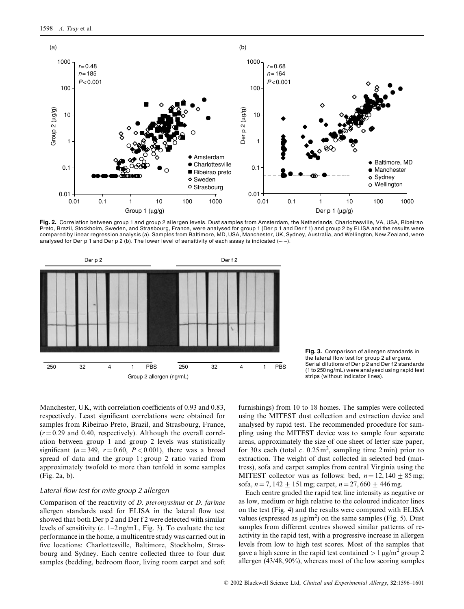

Fig. 2. Correlation between group 1 and group 2 allergen levels. Dust samples from Amsterdam, the Netherlands, Charlottesville, VA, USA, Ribeirao Preto, Brazil, Stockholm, Sweden, and Strasbourg, France, were analysed for group 1 (Der p 1 and Der f 1) and group 2 by ELISA and the results were compared by linear regression analysis (a). Samples from Baltimore, MD, USA, Manchester, UK, Sydney, Australia, and Wellington, New Zealand, were analysed for Der p 1 and Der p 2 (b). The lower level of sensitivity of each assay is indicated  $(-,-)$ .





Manchester, UK, with correlation coefficients of 0.93 and 0.83, respectively. Least significant correlations were obtained for samples from Ribeirao Preto, Brazil, and Strasbourg, France,  $(r = 0.29$  and 0.40, respectively). Although the overall correlation between group 1 and group 2 levels was statistically significant ( $n = 349$ ,  $r = 0.60$ ,  $P < 0.001$ ), there was a broad spread of data and the group  $1$ : group  $2$  ratio varied from approximately twofold to more than tenfold in some samples (Fig. 2a, b).

#### Lateral flow test for mite group 2 allergen

Comparison of the reactivity of  $D$ . pteronyssinus or  $D$ . farinae allergen standards used for ELISA in the lateral flow test showed that both Der p 2 and Der f 2 were detected with similar levels of sensitivity  $(c. 1-2 \text{ ng/mL}, \text{Fig. 3}).$  To evaluate the test performance in the home, a multicentre study was carried out in five locations: Charlottesville, Baltimore, Stockholm, Strasbourg and Sydney. Each centre collected three to four dust samples (bedding, bedroom floor, living room carpet and soft

furnishings) from 10 to 18 homes. The samples were collected using the MITEST dust collection and extraction device and analysed by rapid test. The recommended procedure for sampling using the MITEST device was to sample four separate areas, approximately the size of one sheet of letter size paper, for 30 s each (total c.  $0.25 \,\mathrm{m}^2$ , sampling time 2 min) prior to extraction. The weight of dust collected in selected bed (mattress), sofa and carpet samples from central Virginia using the MITEST collector was as follows: bed,  $n = 12,140 \pm 85$  mg; sofa,  $n = 7$ , 142  $\pm$  151 mg; carpet,  $n = 27$ , 660  $\pm$  446 mg.

Each centre graded the rapid test line intensity as negative or as low, medium or high relative to the coloured indicator lines on the test (Fig. 4) and the results were compared with ELISA values (expressed as  $\mu$ g/m<sup>2</sup>) on the same samples (Fig. 5). Dust samples from different centres showed similar patterns of reactivity in the rapid test, with a progressive increase in allergen levels from low to high test scores. Most of the samples that gave a high score in the rapid test contained  $> 1 \mu g/m^2$  group 2 allergen  $(43/48, 90\%)$ , whereas most of the low scoring samples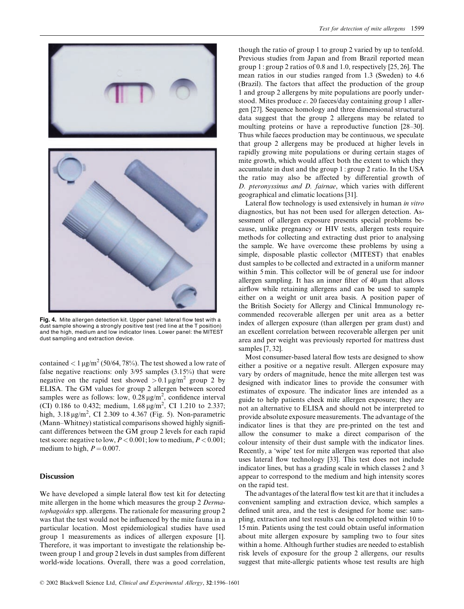

Fig. 4. Mite allergen detection kit. Upper panel: lateral flow test with a dust sample showing a strongly positive test (red line at the T position) and the high, medium and low indicator lines. Lower panel: the MITEST dust sampling and extraction device.

contained <  $1 \mu g/m^2$  (50/64, 78%). The test showed a low rate of false negative reactions: only  $3/95$  samples  $(3.15\%)$  that were negative on the rapid test showed  $> 0.1 \mu g/m^2$  group 2 by ELISA. The GM values for group 2 allergen between scored samples were as follows: low,  $0.28 \mu g/m^2$ , confidence interval (CI) 0.186 to 0.432; medium,  $1.68 \mu g/m^2$ , CI 1.210 to 2.337; high,  $3.18 \mu g/m^2$ , CI 2.309 to 4.367 (Fig. 5). Non-parametric (Mann-Whitney) statistical comparisons showed highly significant differences between the GM group 2 levels for each rapid test score: negative to low,  $P < 0.001$ ; low to medium,  $P < 0.001$ ; medium to high,  $P = 0.007$ .

#### **Discussion**

We have developed a simple lateral flow test kit for detecting mite allergen in the home which measures the group 2 Dermatophagoides spp. allergens. The rationale for measuring group 2 was that the test would not be influenced by the mite fauna in a particular location. Most epidemiological studies have used group 1 measurements as indices of allergen exposure [1]. Therefore, it was important to investigate the relationship between group 1 and group 2 levels in dust samples from different world-wide locations. Overall, there was a good correlation, though the ratio of group 1 to group 2 varied by up to tenfold. Previous studies from Japan and from Brazil reported mean group 1: group 2 ratios of 0.8 and 1.0, respectively  $[25, 26]$ . The mean ratios in our studies ranged from 1.3 (Sweden) to 4.6 (Brazil). The factors that affect the production of the group 1 and group 2 allergens by mite populations are poorly understood. Mites produce  $c$ . 20 faeces/day containing group 1 allergen [27]. Sequence homology and three dimensional structural data suggest that the group 2 allergens may be related to moulting proteins or have a reproductive function [28-30]. Thus while faeces production may be continuous, we speculate that group 2 allergens may be produced at higher levels in rapidly growing mite populations or during certain stages of mite growth, which would affect both the extent to which they accumulate in dust and the group 1: group 2 ratio. In the USA the ratio may also be affected by differential growth of D. pteronyssinus and D. fairnae, which varies with different geographical and climatic locations [31].

Lateral flow technology is used extensively in human in vitro diagnostics, but has not been used for allergen detection. Assessment of allergen exposure presents special problems because, unlike pregnancy or HIV tests, allergen tests require methods for collecting and extracting dust prior to analysing the sample. We have overcome these problems by using a simple, disposable plastic collector (MITEST) that enables dust samples to be collected and extracted in a uniform manner within 5 min. This collector will be of general use for indoor allergen sampling. It has an inner filter of  $40 \mu m$  that allows airflow while retaining allergens and can be used to sample either on a weight or unit area basis. A position paper of the British Society for Allergy and Clinical Immunology recommended recoverable allergen per unit area as a better index of allergen exposure (than allergen per gram dust) and an excellent correlation between recoverable allergen per unit area and per weight was previously reported for mattress dust samples [7, 32].

Most consumer-based lateral flow tests are designed to show either a positive or a negative result. Allergen exposure may vary by orders of magnitude, hence the mite allergen test was designed with indicator lines to provide the consumer with estimates of exposure. The indicator lines are intended as a guide to help patients check mite allergen exposure; they are not an alternative to ELISA and should not be interpreted to provide absolute exposure measurements. The advantage of the indicator lines is that they are pre-printed on the test and allow the consumer to make a direct comparison of the colour intensity of their dust sample with the indicator lines. Recently, a 'wipe' test for mite allergen was reported that also uses lateral flow technology [33]. This test does not include indicator lines, but has a grading scale in which classes 2 and 3 appear to correspond to the medium and high intensity scores on the rapid test.

The advantages of the lateral flow test kit are that it includes a convenient sampling and extraction device, which samples a defined unit area, and the test is designed for home use: sampling, extraction and test results can be completed within 10 to 15 min. Patients using the test could obtain useful information about mite allergen exposure by sampling two to four sites within a home. Although further studies are needed to establish risk levels of exposure for the group 2 allergens, our results suggest that mite-allergic patients whose test results are high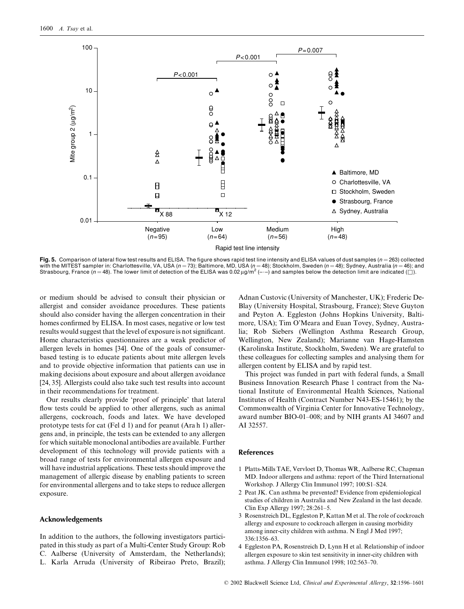

Fig. 5. Comparison of lateral flow test results and ELISA. The figure shows rapid test line intensity and ELISA values of dust samples  $(n = 263)$  collected with the MITEST sampler in: Charlottesville, VA, USA ( $n = 73$ ); Baltimore, MD, USA ( $n = 48$ ); Stockholm, Sweden ( $n = 48$ ); Sydney, Australia ( $n = 46$ ); and Strasbourg, France (n = 48). The lower limit of detection of the ELISA was 0.02  $\mu g/m^2$  (---) and samples below the detection limit are indicated ( $\Box$ ).

or medium should be advised to consult their physician or allergist and consider avoidance procedures. These patients should also consider having the allergen concentration in their homes confirmed by ELISA. In most cases, negative or low test results would suggest that the level of exposure is not significant. Home characteristics questionnaires are a weak predictor of allergen levels in homes [34]. One of the goals of consumerbased testing is to educate patients about mite allergen levels and to provide objective information that patients can use in making decisions about exposure and about allergen avoidance [24, 35]. Allergists could also take such test results into account in their recommendations for treatment.

Our results clearly provide 'proof of principle' that lateral flow tests could be applied to other allergens, such as animal allergens, cockroach, foods and latex. We have developed prototype tests for cat (Fel d 1) and for peanut (Ara h 1) allergens and, in principle, the tests can be extended to any allergen for which suitable monoclonal antibodies are available. Further development of this technology will provide patients with a broad range of tests for environmental allergen exposure and will have industrial applications. These tests should improve the management of allergic disease by enabling patients to screen for environmental allergens and to take steps to reduce allergen exposure.

#### **Acknowledgements**

In addition to the authors, the following investigators participated in this study as part of a Multi-Center Study Group: Rob C. Aalberse (University of Amsterdam, the Netherlands); L. Karla Arruda (University of Ribeirao Preto, Brazil); Adnan Custovic (University of Manchester, UK); Frederic De-Blay (University Hospital, Strasbourg, France); Steve Guyton and Peyton A. Eggleston (Johns Hopkins University, Baltimore, USA); Tim O'Meara and Euan Tovey, Sydney, Australia; Rob Siebers (Wellington Asthma Research Group, Wellington, New Zealand); Marianne van Hage-Hamsten (Karolinska Institute, Stockholm, Sweden). We are grateful to these colleagues for collecting samples and analysing them for allergen content by ELISA and by rapid test.

This project was funded in part with federal funds, a Small Business Innovation Research Phase 1 contract from the National Institute of Environmental Health Sciences, National Institutes of Health (Contract Number N43-ES-15461); by the Commonwealth of Virginia Center for Innovative Technology, award number BIO-01-008; and by NIH grants AI 34607 and AI 32557.

#### **References**

- 1 Platts-Mills TAE, Vervloet D, Thomas WR, Aalberse RC, Chapman MD. Indoor allergens and asthma: report of the Third International Workshop. J Allergy Clin Immunol 1997; 100:S1-S24.
- 2 Peat JK. Can asthma be prevented? Evidence from epidemiological studies of children in Australia and New Zealand in the last decade. Clin Exp Allergy 1997; 28:261-5.
- 3 Rosenstreich DL, Eggleston P, Kattan M et al. The role of cockroach allergy and exposure to cockroach allergen in causing morbidity among inner-city children with asthma. N Engl J Med 1997; 336:1356-63.
- 4 Eggleston PA, Rosenstreich D, Lynn H et al. Relationship of indoor allergen exposure to skin test sensitivity in inner-city children with asthma. J Allergy Clin Immunol 1998; 102:563-70.